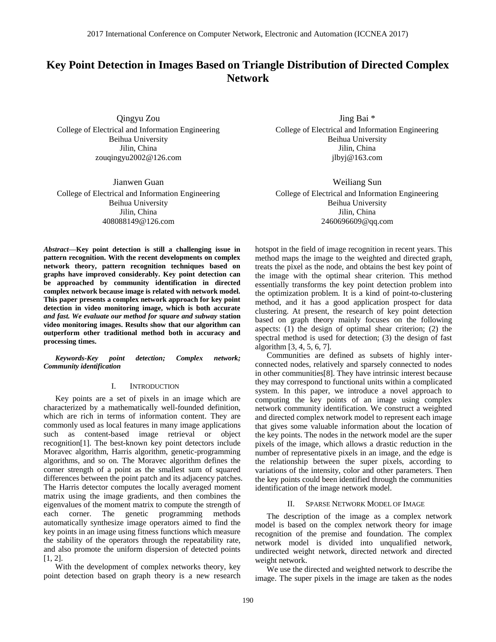# **Key Point Detection in Images Based on Triangle Distribution of Directed Complex Network**

Qingyu Zou College of Electrical and Information Engineering Beihua University Jilin, China zouqingyu2002@126.com

Jianwen Guan College of Electrical and Information Engineering Beihua University Jilin, China 408088149@126.com

Jing Bai \* College of Electrical and Information Engineering Beihua University Jilin, China jlbyj@163.com

Weiliang Sun College of Electrical and Information Engineering Beihua University Jilin, China 2460696609@qq.com

*Abstract***—Key point detection is still a challenging issue in pattern recognition. With the recent developments on complex network theory, pattern recognition techniques based on graphs have improved considerably. Key point detection can be approached by community identification in directed complex network because image is related with network model. This paper presents a complex network approach for key point detection in video monitoring image, which is both accurate**  *and fast. We evaluate our method for square and subway* **station video monitoring images. Results show that our algorithm can outperform other traditional method both in accuracy and processing times.**

*Keywords-Key point detection; Complex network; Community identification*

## I. INTRODUCTION

Key points are a set of pixels in an image which are characterized by a mathematically well-founded definition, which are rich in terms of information content. They are commonly used as local features in many image applications such as content-based image retrieval or object recognition[1]. The best-known key point detectors include Moravec algorithm, Harris algorithm, genetic-programming algorithms, and so on. The Moravec algorithm defines the corner strength of a point as the smallest sum of squared differences between the point patch and its adjacency patches. The Harris detector computes the locally averaged moment matrix using the image gradients, and then combines the eigenvalues of the moment matrix to compute the strength of each corner. The genetic programming methods automatically synthesize image operators aimed to find the key points in an image using fitness functions which measure the stability of the operators through the repeatability rate, and also promote the uniform dispersion of detected points [1, 2].

With the development of complex networks theory, key point detection based on graph theory is a new research hotspot in the field of image recognition in recent years. This method maps the image to the weighted and directed graph, treats the pixel as the node, and obtains the best key point of the image with the optimal shear criterion. This method essentially transforms the key point detection problem into the optimization problem. It is a kind of point-to-clustering method, and it has a good application prospect for data clustering. At present, the research of key point detection based on graph theory mainly focuses on the following aspects: (1) the design of optimal shear criterion; (2) the spectral method is used for detection; (3) the design of fast algorithm [3, 4, 5, 6, 7].

Communities are defined as subsets of highly interconnected nodes, relatively and sparsely connected to nodes in other communities[8]. They have intrinsic interest because they may correspond to functional units within a complicated system. In this paper, we introduce a novel approach to computing the key points of an image using complex network community identification. We construct a weighted and directed complex network model to represent each image that gives some valuable information about the location of the key points. The nodes in the network model are the super pixels of the image, which allows a drastic reduction in the number of representative pixels in an image, and the edge is the relationship between the super pixels, according to variations of the intensity, color and other parameters. Then the key points could been identified through the communities identification of the image network model.

## II. SPARSE NETWORK MODEL OF IMAGE

The description of the image as a complex network model is based on the complex network theory for image recognition of the premise and foundation. The complex network model is divided into unqualified network, undirected weight network, directed network and directed weight network.

We use the directed and weighted network to describe the image. The super pixels in the image are taken as the nodes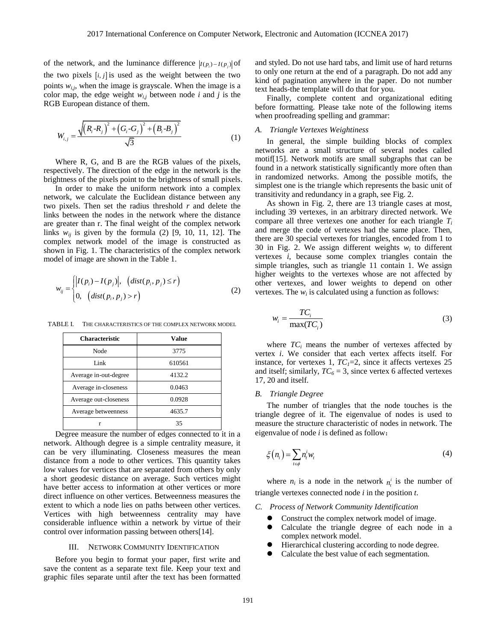of the network, and the luminance difference  $|I(p_i) - I(p_j)|$  of the two pixels  $[i, j]$  is used as the weight between the two points  $w_{i,j}$ , when the image is grayscale. When the image is a color map, the edge weight  $w_{i,j}$  between node *i* and *j* is the RGB European distance of them.

$$
W_{i,j} = \frac{\sqrt{(R_i - R_j)^2 + (G_i - G_j)^2 + (B_i - B_j)^2}}{\sqrt{3}}
$$
(1)

Where R, G, and B are the RGB values of the pixels, respectively. The direction of the edge in the network is the brightness of the pixels point to the brightness of small pixels.

In order to make the uniform network into a complex network, we calculate the Euclidean distance between any two pixels. Then set the radius threshold *r* and delete the links between the nodes in the network where the distance are greater than r. The final weight of the complex network links  $w_{ii}$  is given by the formula (2) [9, 10, 11, 12]. The complex network model of the image is constructed as shown in Fig. 1. The characteristics of the complex network model of image are shown in the Table 1.

$$
w_{ij} = \begin{cases} |I(p_i) - I(p_j)|, & \left(\text{dist}(p_i, p_j) \le r\right) \\ 0, & \left(\text{dist}(p_i, p_j) > r\right) \end{cases} \tag{2}
$$

TABLE I. THE CHARACTERISTICS OF THE COMPLEX NETWORK MODEL

| <b>Characteristic</b> | Value  |
|-----------------------|--------|
| Node                  | 3775   |
| Link                  | 610561 |
| Average in-out-degree | 4132.2 |
| Average in-closeness  | 0.0463 |
| Average out-closeness | 0.0928 |
| Average betweenness   | 4635.7 |
|                       | 35     |

Degree measure the number of edges connected to it in a network. Although degree is a simple centrality measure, it can be very illuminating. Closeness measures the mean distance from a node to other vertices. This quantity takes low values for vertices that are separated from others by only a short geodesic distance on average. Such vertices might have better access to information at other vertices or more direct influence on other vertices. Betweenness measures the extent to which a node lies on paths between other vertices. Vertices with high betweenness centrality may have considerable influence within a network by virtue of their control over information passing between others[14].

#### III. NETWORK COMMUNITY IDENTIFICATION

Before you begin to format your paper, first write and save the content as a separate text file. Keep your text and graphic files separate until after the text has been formatted and styled. Do not use hard tabs, and limit use of hard returns to only one return at the end of a paragraph. Do not add any kind of pagination anywhere in the paper. Do not number text heads-the template will do that for you.

Finally, complete content and organizational editing before formatting. Please take note of the following items when proofreading spelling and grammar:

## *A. Triangle Vertexes Weightiness*

In general, the simple building blocks of complex networks are a small structure of several nodes called motif[15]. Network motifs are small subgraphs that can be found in a network statistically significantly more often than in randomized networks. Among the possible motifs, the simplest one is the triangle which represents the basic unit of transitivity and redundancy in a graph, see Fig. 2.

As shown in Fig. 2, there are 13 triangle cases at most, including 39 vertexes, in an arbitrary directed network. We compare all three vertexes one another for each triangle *T<sup>i</sup>* and merge the code of vertexes had the same place. Then, there are 30 special vertexes for triangles, encoded from 1 to 30 in Fig. 2. We assign different weights  $w_i$  to different vertexes *i*, because some complex triangles contain the simple triangles, such as triangle 11 contain 1. We assign higher weights to the vertexes whose are not affected by other vertexes, and lower weights to depend on other vertexes. The  $w_i$  is calculated using a function as follows:

$$
w_i = \frac{TC_i}{\max(TC_i)}\tag{3}
$$

where  $TC_i$  means the number of vertexes affected by vertex *i*. We consider that each vertex affects itself. For instance, for vertexes 1,  $TC<sub>I</sub>=2$ , since it affects vertexes 25 and itself; similarly,  $TC_6 = 3$ , since vertex 6 affected vertexes 17, 20 and itself.

#### *B. Triangle Degree*

The number of triangles that the node touches is the triangle degree of it. The eigenvalue of nodes is used to measure the structure characteristic of nodes in network. The eigenvalue of node *i* is defined as follow:

$$
\xi(n_i) = \sum_{t \in \phi} n_i^i w_t \tag{4}
$$

where  $n_i$  is a node in the network  $n_i$ <sup>*i*</sup> is the number of triangle vertexes connected node *i* in the position *t*.

#### *C. Process of Network Community Identification*

- Construct the complex network model of image.
- Calculate the triangle degree of each node in a complex network model.
- Hierarchical clustering according to node degree.
- Calculate the best value of each segmentation.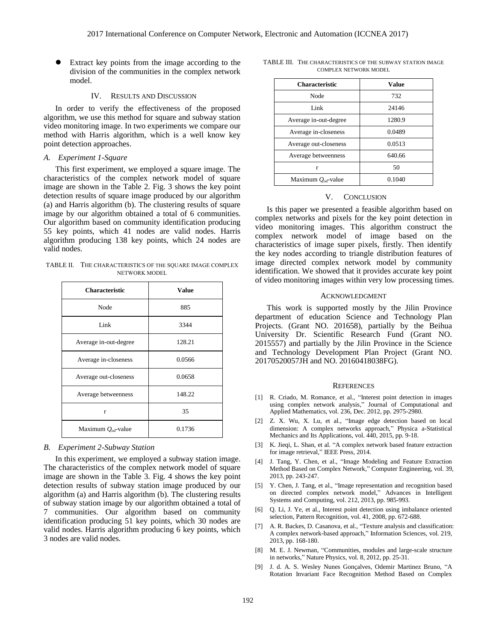Extract key points from the image according to the division of the communities in the complex network model.

## IV. RESULTS AND DISCUSSION

In order to verify the effectiveness of the proposed algorithm, we use this method for square and subway station video monitoring image. In two experiments we compare our method with Harris algorithm, which is a well know key point detection approaches.

#### *A. Experiment 1-Square*

This first experiment, we employed a square image. The characteristics of the complex network model of square image are shown in the Table 2. Fig. 3 shows the key point detection results of square image produced by our algorithm (a) and Harris algorithm (b). The clustering results of square image by our algorithm obtained a total of 6 communities. Our algorithm based on community identification producing 55 key points, which 41 nodes are valid nodes. Harris algorithm producing 138 key points, which 24 nodes are valid nodes.

TABLE II. THE CHARACTERISTICS OF THE SQUARE IMAGE COMPLEX NETWORK MODEL

| <b>Characteristic</b>   | <b>Value</b> |
|-------------------------|--------------|
| Node                    | 885          |
| Link                    | 3344         |
| Average in-out-degree   | 128.21       |
| Average in-closeness    | 0.0566       |
| Average out-closeness   | 0.0658       |
| Average betweenness     | 148.22       |
| $\mathbf{r}$            | 35           |
| Maximum $Q_{od}$ -value | 0.1736       |

## *B. Experiment 2-Subway Station*

In this experiment, we employed a subway station image. The characteristics of the complex network model of square image are shown in the Table 3. Fig. 4 shows the key point detection results of subway station image produced by our algorithm (a) and Harris algorithm (b). The clustering results of subway station image by our algorithm obtained a total of 7 communities. Our algorithm based on community identification producing 51 key points, which 30 nodes are valid nodes. Harris algorithm producing 6 key points, which 3 nodes are valid nodes.

|                       | TABLE III. THE CHARACTERISTICS OF THE SUBWAY STATION IMAGE |
|-----------------------|------------------------------------------------------------|
| COMPLEX NETWORK MODEL |                                                            |

| <b>Characteristic</b>   | Value  |
|-------------------------|--------|
| Node                    | 732    |
| Link                    | 24146  |
| Average in-out-degree   | 1280.9 |
| Average in-closeness    | 0.0489 |
| Average out-closeness   | 0.0513 |
| Average betweenness     | 640.66 |
| r                       | 50     |
| Maximum $Q_{od}$ -value | 0.1040 |

## V. CONCLUSION

Is this paper we presented a feasible algorithm based on complex networks and pixels for the key point detection in video monitoring images. This algorithm construct the complex network model of image based on the characteristics of image super pixels, firstly. Then identify the key nodes according to triangle distribution features of image directed complex network model by community identification. We showed that it provides accurate key point of video monitoring images within very low processing times.

### ACKNOWLEDGMENT

This work is supported mostly by the Jilin Province department of education Science and Technology Plan Projects. (Grant NO. 201658), partially by the Beihua University Dr. Scientific Research Fund (Grant NO. 2015557) and partially by the Jilin Province in the Science and Technology Development Plan Project (Grant NO. 20170520057JH and NO. 20160418038FG).

#### **REFERENCES**

- [1] R. Criado, M. Romance, et al., "Interest point detection in images using complex network analysis," Journal of Computational and Applied Mathematics, vol. 236, Dec. 2012, pp. 2975-2980.
- [2] Z. X. Wu, X. Lu, et al., "Image edge detection based on local dimension: A complex networks approach," Physica a-Statistical Mechanics and Its Applications, vol. 440, 2015, pp. 9-18.
- [3] K. Jieqi, L. Shan, et al. "A complex network based feature extraction for image retrieval," IEEE Press, 2014.
- [4] J. Tang, Y. Chen, et al., "Image Modeling and Feature Extraction Method Based on Complex Network," Computer Engineering, vol. 39, 2013, pp. 243-247.
- [5] Y. Chen, J. Tang, et al., "Image representation and recognition based on directed complex network model," Advances in Intelligent Systems and Computing, vol. 212, 2013, pp. 985-993.
- [6] Q. Li, J. Ye, et al., Interest point detection using imbalance oriented selection, Pattern Recognition, vol. 41, 2008, pp. 672-688.
- [7] A. R. Backes, D. Casanova, et al., "Texture analysis and classification: A complex network-based approach," Information Sciences, vol. 219, 2013, pp. 168-180.
- [8] M. E. J. Newman, "Communities, modules and large-scale structure in networks," Nature Physics, vol. 8, 2012, pp. 25-31.
- [9] J. d. A. S. Wesley Nunes Gonçalves, Odemir Martinez Bruno, "A Rotation Invariant Face Recognition Method Based on Complex